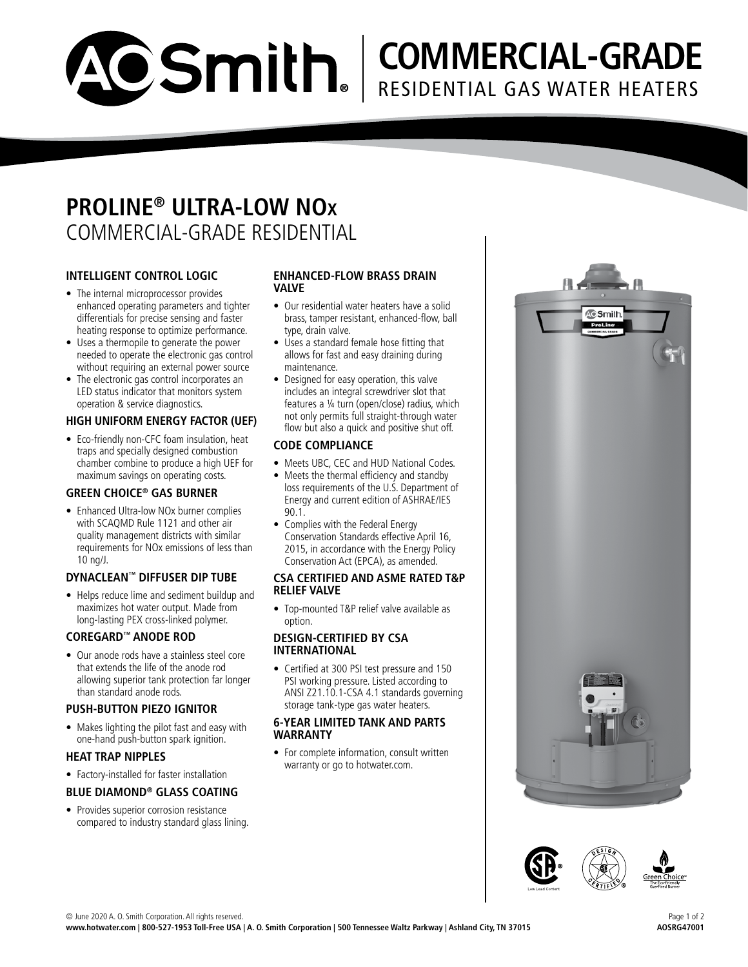

# **COMMERCIAL-GRADE** RESIDENTIAL GAS WATER HEATERS

## **PROLINE® ULTRA-LOW NO<sup>x</sup>** COMMERCIAL-GRADE RESIDENTIAL

#### **INTELLIGENT CONTROL LOGIC**

- The internal microprocessor provides enhanced operating parameters and tighter differentials for precise sensing and faster heating response to optimize performance.
- Uses a thermopile to generate the power needed to operate the electronic gas control without requiring an external power source
- The electronic gas control incorporates an LED status indicator that monitors system operation & service diagnostics.

#### **HIGH UNIFORM ENERGY FACTOR (UEF)**

• Eco-friendly non-CFC foam insulation, heat traps and specially designed combustion chamber combine to produce a high UEF for maximum savings on operating costs.

#### **GREEN CHOICE® GAS BURNER**

• Enhanced Ultra-low NOx burner complies with SCAQMD Rule 1121 and other air quality management districts with similar requirements for NOx emissions of less than 10 ng/J.

#### **DYNACLEAN™ DIFFUSER DIP TUBE**

• Helps reduce lime and sediment buildup and maximizes hot water output. Made from long-lasting PEX cross-linked polymer.

#### **COREGARD™ ANODE ROD**

• Our anode rods have a stainless steel core that extends the life of the anode rod allowing superior tank protection far longer than standard anode rods.

#### **PUSH-BUTTON PIEZO IGNITOR**

• Makes lighting the pilot fast and easy with one-hand push-button spark ignition.

#### **HEAT TRAP NIPPLES**

• Factory-installed for faster installation

### **BLUE DIAMOND® GLASS COATING**

• Provides superior corrosion resistance compared to industry standard glass lining.

#### **ENHANCED-FLOW BRASS DRAIN VALVE**

- Our residential water heaters have a solid brass, tamper resistant, enhanced-flow, ball type, drain valve.
- Uses a standard female hose fitting that allows for fast and easy draining during maintenance.
- Designed for easy operation, this valve includes an integral screwdriver slot that features a ¼ turn (open/close) radius, which not only permits full straight-through water flow but also a quick and positive shut off.

#### **CODE COMPLIANCE**

- Meets UBC, CEC and HUD National Codes.
- Meets the thermal efficiency and standby loss requirements of the U.S. Department of Energy and current edition of ASHRAE/IES 90.1.
- Complies with the Federal Energy Conservation Standards effective April 16, 2015, in accordance with the Energy Policy Conservation Act (EPCA), as amended.

#### **CSA CERTIFIED AND ASME RATED T&P RELIEF VALVE**

• Top-mounted T&P relief valve available as option.

#### **DESIGN-CERTIFIED BY CSA INTERNATIONAL**

• Certified at 300 PSI test pressure and 150 PSI working pressure. Listed according to ANSI Z21.10.1-CSA 4.1 standards governing storage tank-type gas water heaters.

#### **6-YEAR LIMITED TANK AND PARTS WARRANTY**

• For complete information, consult written warranty or go to hotwater.com.